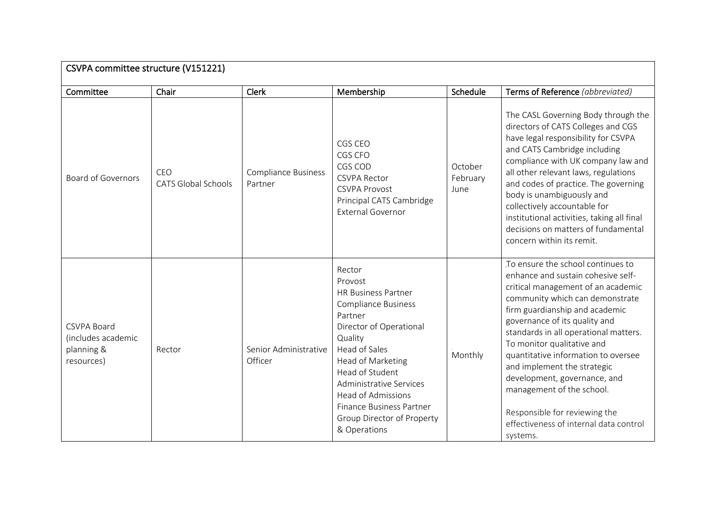| CSVPA committee structure (V151221)                                  |                                   |                                       |                                                                                                                                                                                                                                                                                                                           |                             |                                                                                                                                                                                                                                                                                                                                                                                                                                                                                                                      |  |
|----------------------------------------------------------------------|-----------------------------------|---------------------------------------|---------------------------------------------------------------------------------------------------------------------------------------------------------------------------------------------------------------------------------------------------------------------------------------------------------------------------|-----------------------------|----------------------------------------------------------------------------------------------------------------------------------------------------------------------------------------------------------------------------------------------------------------------------------------------------------------------------------------------------------------------------------------------------------------------------------------------------------------------------------------------------------------------|--|
| Committee                                                            | Chair                             | Clerk                                 | Membership                                                                                                                                                                                                                                                                                                                | Schedule                    | Terms of Reference (abbreviated)                                                                                                                                                                                                                                                                                                                                                                                                                                                                                     |  |
| <b>Board of Governors</b>                                            | CEO<br><b>CATS Global Schools</b> | <b>Compliance Business</b><br>Partner | CGS CEO<br>CGS CFO<br>CGS COD<br><b>CSVPA Rector</b><br><b>CSVPA Provost</b><br>Principal CATS Cambridge<br><b>External Governor</b>                                                                                                                                                                                      | October<br>February<br>June | The CASL Governing Body through the<br>directors of CATS Colleges and CGS<br>have legal responsibility for CSVPA<br>and CATS Cambridge including<br>compliance with UK company law and<br>all other relevant laws, regulations<br>and codes of practice. The governing<br>body is unambiguously and<br>collectively accountable for<br>institutional activities, taking all final<br>decisions on matters of fundamental<br>concern within its remit.                                                                |  |
| <b>CSVPA Board</b><br>(includes academic<br>planning &<br>resources) | Rector                            | Senior Administrative<br>Officer      | Rector<br>Provost<br><b>HR Business Partner</b><br><b>Compliance Business</b><br>Partner<br>Director of Operational<br>Quality<br>Head of Sales<br>Head of Marketing<br>Head of Student<br>Administrative Services<br><b>Head of Admissions</b><br>Finance Business Partner<br>Group Director of Property<br>& Operations | Monthly                     | To ensure the school continues to<br>enhance and sustain cohesive self-<br>critical management of an academic<br>community which can demonstrate<br>firm guardianship and academic<br>governance of its quality and<br>standards in all operational matters.<br>To monitor qualitative and<br>quantitative information to oversee<br>and implement the strategic<br>development, governance, and<br>management of the school.<br>Responsible for reviewing the<br>effectiveness of internal data control<br>systems. |  |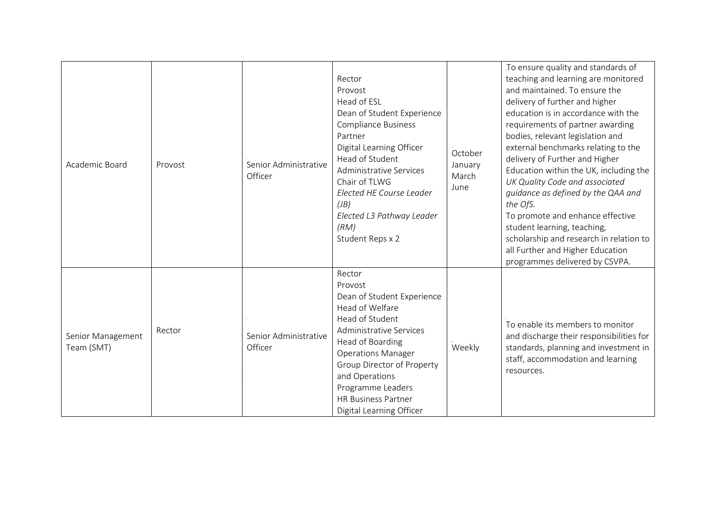| Academic Board                  | Provost | Senior Administrative<br>Officer | Rector<br>Provost<br>Head of ESL<br>Dean of Student Experience<br><b>Compliance Business</b><br>Partner<br>Digital Learning Officer<br>Head of Student<br>Administrative Services<br>Chair of TLWG<br>Elected HE Course Leader<br>(B)<br>Elected L3 Pathway Leader<br>(RM)<br>Student Reps x 2          | October<br>January<br>March<br>June | To ensure quality and standards of<br>teaching and learning are monitored<br>and maintained. To ensure the<br>delivery of further and higher<br>education is in accordance with the<br>requirements of partner awarding<br>bodies, relevant legislation and<br>external benchmarks relating to the<br>delivery of Further and Higher<br>Education within the UK, including the<br>UK Quality Code and associated<br>guidance as defined by the QAA and<br>the OfS.<br>To promote and enhance effective<br>student learning, teaching,<br>scholarship and research in relation to<br>all Further and Higher Education<br>programmes delivered by CSVPA. |
|---------------------------------|---------|----------------------------------|---------------------------------------------------------------------------------------------------------------------------------------------------------------------------------------------------------------------------------------------------------------------------------------------------------|-------------------------------------|--------------------------------------------------------------------------------------------------------------------------------------------------------------------------------------------------------------------------------------------------------------------------------------------------------------------------------------------------------------------------------------------------------------------------------------------------------------------------------------------------------------------------------------------------------------------------------------------------------------------------------------------------------|
| Senior Management<br>Team (SMT) | Rector  | Senior Administrative<br>Officer | Rector<br>Provost<br>Dean of Student Experience<br>Head of Welfare<br>Head of Student<br><b>Administrative Services</b><br>Head of Boarding<br><b>Operations Manager</b><br>Group Director of Property<br>and Operations<br>Programme Leaders<br><b>HR Business Partner</b><br>Digital Learning Officer | Weekly                              | To enable its members to monitor<br>and discharge their responsibilities for<br>standards, planning and investment in<br>staff, accommodation and learning<br>resources.                                                                                                                                                                                                                                                                                                                                                                                                                                                                               |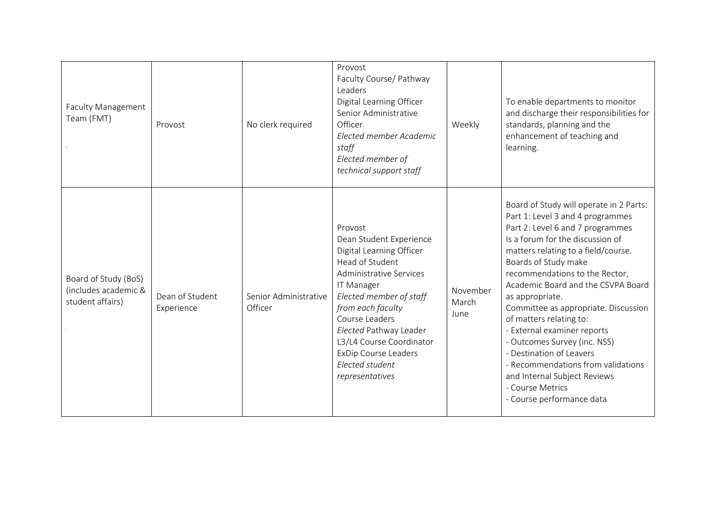| <b>Faculty Management</b><br>Team (FMT)                          | Provost                       | No clerk required                | Provost<br>Faculty Course/ Pathway<br>Leaders<br>Digital Learning Officer<br>Senior Administrative<br>Officer<br>Elected member Academic<br>staff<br>Elected member of<br>technical support staff                                                                                                                              | Weekly                    | To enable departments to monitor<br>and discharge their responsibilities for<br>standards, planning and the<br>enhancement of teaching and<br>learning.                                                                                                                                                                                                                                                                                                                                                                                                                                            |
|------------------------------------------------------------------|-------------------------------|----------------------------------|--------------------------------------------------------------------------------------------------------------------------------------------------------------------------------------------------------------------------------------------------------------------------------------------------------------------------------|---------------------------|----------------------------------------------------------------------------------------------------------------------------------------------------------------------------------------------------------------------------------------------------------------------------------------------------------------------------------------------------------------------------------------------------------------------------------------------------------------------------------------------------------------------------------------------------------------------------------------------------|
| Board of Study (BoS)<br>(includes academic &<br>student affairs) | Dean of Student<br>Experience | Senior Administrative<br>Officer | Provost<br>Dean Student Experience<br>Digital Learning Officer<br>Head of Student<br><b>Administrative Services</b><br>IT Manager<br>Elected member of staff<br>from each faculty<br>Course Leaders<br>Elected Pathway Leader<br>L3/L4 Course Coordinator<br><b>ExDip Course Leaders</b><br>Elected student<br>representatives | November<br>March<br>June | Board of Study will operate in 2 Parts:<br>Part 1: Level 3 and 4 programmes<br>Part 2: Level 6 and 7 programmes<br>Is a forum for the discussion of<br>matters relating to a field/course.<br>Boards of Study make<br>recommendations to the Rector,<br>Academic Board and the CSVPA Board<br>as appropriate.<br>Committee as appropriate. Discussion<br>of matters relating to:<br>- External examiner reports<br>- Outcomes Survey (inc. NSS)<br>- Destination of Leavers<br>- Recommendations from validations<br>and Internal Subject Reviews<br>- Course Metrics<br>- Course performance data |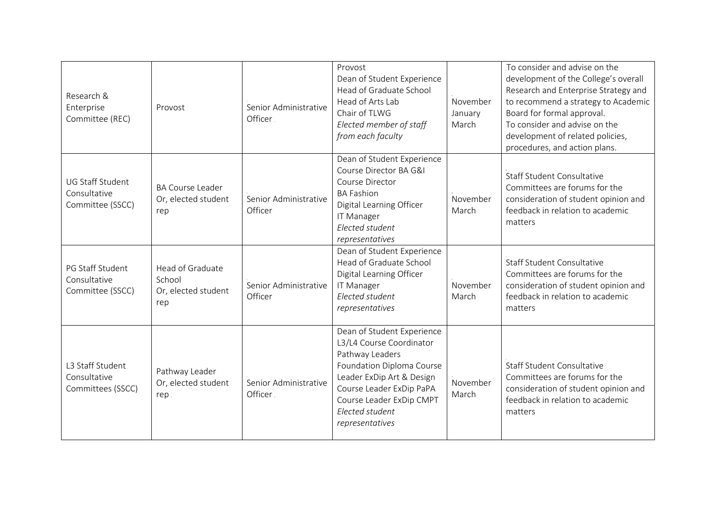| Research &<br>Enterprise<br>Committee (REC)                 | Provost                                                  | Senior Administrative<br>Officer. | Provost<br>Dean of Student Experience<br>Head of Graduate School<br>Head of Arts Lab<br>Chair of TLWG<br>Elected member of staff<br>from each faculty                                                                             | November<br>January<br>March | To consider and advise on the<br>development of the College's overall<br>Research and Enterprise Strategy and<br>to recommend a strategy to Academic<br>Board for formal approval.<br>To consider and advise on the<br>development of related policies,<br>procedures, and action plans. |
|-------------------------------------------------------------|----------------------------------------------------------|-----------------------------------|-----------------------------------------------------------------------------------------------------------------------------------------------------------------------------------------------------------------------------------|------------------------------|------------------------------------------------------------------------------------------------------------------------------------------------------------------------------------------------------------------------------------------------------------------------------------------|
| <b>UG Staff Student</b><br>Consultative<br>Committee (SSCC) | <b>BA Course Leader</b><br>Or, elected student<br>rep    | Senior Administrative<br>Officer  | Dean of Student Experience<br>Course Director BA G&I<br>Course Director<br><b>BA Fashion</b><br>Digital Learning Officer<br>IT Manager<br>Elected student<br>representatives                                                      | November<br>March            | <b>Staff Student Consultative</b><br>Committees are forums for the<br>consideration of student opinion and<br>feedback in relation to academic<br>matters                                                                                                                                |
| PG Staff Student<br>Consultative<br>Committee (SSCC)        | Head of Graduate<br>School<br>Or, elected student<br>rep | Senior Administrative<br>Officer  | Dean of Student Experience<br>Head of Graduate School<br>Digital Learning Officer<br><b>IT Manager</b><br>Elected student<br>representatives                                                                                      | November<br>March            | Staff Student Consultative<br>Committees are forums for the<br>consideration of student opinion and<br>feedback in relation to academic<br>matters                                                                                                                                       |
| L3 Staff Student<br>Consultative<br>Committees (SSCC)       | Pathway Leader<br>Or, elected student<br>rep             | Senior Administrative<br>Officer. | Dean of Student Experience<br>L3/L4 Course Coordinator<br>Pathway Leaders<br>Foundation Diploma Course<br>Leader ExDip Art & Design<br>Course Leader ExDip PaPA<br>Course Leader ExDip CMPT<br>Elected student<br>representatives | November<br>March            | <b>Staff Student Consultative</b><br>Committees are forums for the<br>consideration of student opinion and<br>feedback in relation to academic<br>matters                                                                                                                                |